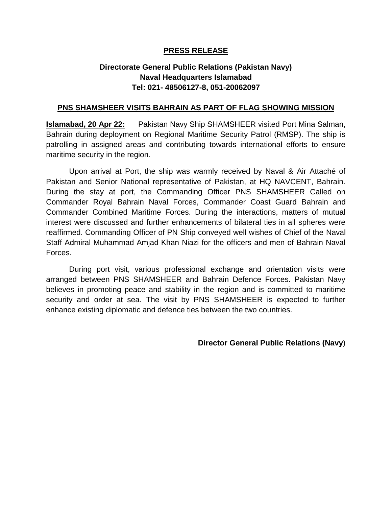## **PRESS RELEASE**

## **Directorate General Public Relations (Pakistan Navy) Naval Headquarters Islamabad Tel: 021- 48506127-8, 051-20062097**

## **PNS SHAMSHEER VISITS BAHRAIN AS PART OF FLAG SHOWING MISSION**

**Islamabad, 20 Apr 22:** Pakistan Navy Ship SHAMSHEER visited Port Mina Salman, Bahrain during deployment on Regional Maritime Security Patrol (RMSP). The ship is patrolling in assigned areas and contributing towards international efforts to ensure maritime security in the region.

Upon arrival at Port, the ship was warmly received by Naval & Air Attaché of Pakistan and Senior National representative of Pakistan, at HQ NAVCENT, Bahrain. During the stay at port, the Commanding Officer PNS SHAMSHEER Called on Commander Royal Bahrain Naval Forces, Commander Coast Guard Bahrain and Commander Combined Maritime Forces. During the interactions, matters of mutual interest were discussed and further enhancements of bilateral ties in all spheres were reaffirmed. Commanding Officer of PN Ship conveyed well wishes of Chief of the Naval Staff Admiral Muhammad Amjad Khan Niazi for the officers and men of Bahrain Naval Forces.

During port visit, various professional exchange and orientation visits were arranged between PNS SHAMSHEER and Bahrain Defence Forces. Pakistan Navy believes in promoting peace and stability in the region and is committed to maritime security and order at sea. The visit by PNS SHAMSHEER is expected to further enhance existing diplomatic and defence ties between the two countries.

**Director General Public Relations (Navy**)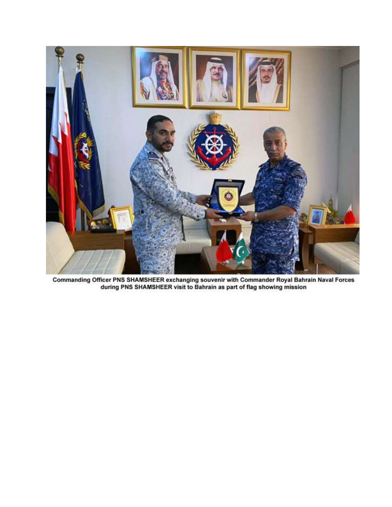

Commanding Officer PNS SHAMSHEER exchanging souvenir with Commander Royal Bahrain Naval Forces<br>during PNS SHAMSHEER visit to Bahrain as part of flag showing mission